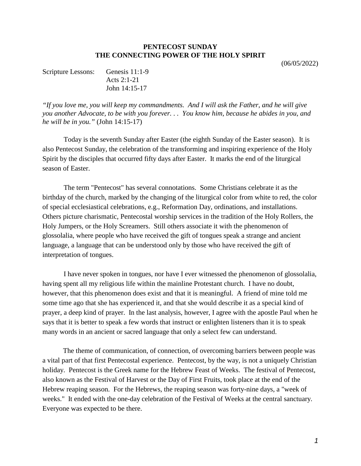## **PENTECOST SUNDAY THE CONNECTING POWER OF THE HOLY SPIRIT**

(06/05/2022)

| Scripture Lessons: Genesis 11:1-9 |                 |
|-----------------------------------|-----------------|
|                                   | Acts 2:1-21     |
|                                   | John $14:15-17$ |

*"If you love me, you will keep my commandments. And I will ask the Father, and he will give you another Advocate, to be with you forever. . . You know him, because he abides in you, and he will be in you."* (John 14:15-17)

Today is the seventh Sunday after Easter (the eighth Sunday of the Easter season). It is also Pentecost Sunday, the celebration of the transforming and inspiring experience of the Holy Spirit by the disciples that occurred fifty days after Easter. It marks the end of the liturgical season of Easter.

The term "Pentecost" has several connotations. Some Christians celebrate it as the birthday of the church, marked by the changing of the liturgical color from white to red, the color of special ecclesiastical celebrations, e.g., Reformation Day, ordinations, and installations. Others picture charismatic, Pentecostal worship services in the tradition of the Holy Rollers, the Holy Jumpers, or the Holy Screamers. Still others associate it with the phenomenon of glossolalia, where people who have received the gift of tongues speak a strange and ancient language, a language that can be understood only by those who have received the gift of interpretation of tongues.

I have never spoken in tongues, nor have I ever witnessed the phenomenon of glossolalia, having spent all my religious life within the mainline Protestant church. I have no doubt, however, that this phenomenon does exist and that it is meaningful. A friend of mine told me some time ago that she has experienced it, and that she would describe it as a special kind of prayer, a deep kind of prayer. In the last analysis, however, I agree with the apostle Paul when he says that it is better to speak a few words that instruct or enlighten listeners than it is to speak many words in an ancient or sacred language that only a select few can understand.

The theme of communication, of connection, of overcoming barriers between people was a vital part of that first Pentecostal experience. Pentecost, by the way, is not a uniquely Christian holiday. Pentecost is the Greek name for the Hebrew Feast of Weeks. The festival of Pentecost, also known as the Festival of Harvest or the Day of First Fruits, took place at the end of the Hebrew reaping season. For the Hebrews, the reaping season was forty-nine days, a "week of weeks." It ended with the one-day celebration of the Festival of Weeks at the central sanctuary. Everyone was expected to be there.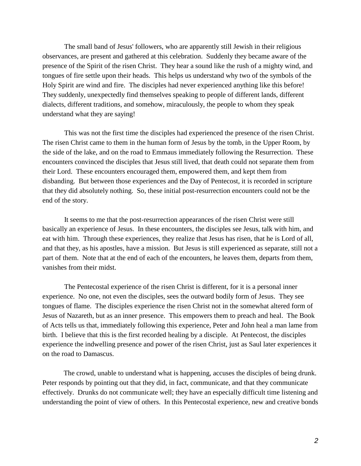The small band of Jesus' followers, who are apparently still Jewish in their religious observances, are present and gathered at this celebration. Suddenly they became aware of the presence of the Spirit of the risen Christ. They hear a sound like the rush of a mighty wind, and tongues of fire settle upon their heads. This helps us understand why two of the symbols of the Holy Spirit are wind and fire. The disciples had never experienced anything like this before! They suddenly, unexpectedly find themselves speaking to people of different lands, different dialects, different traditions, and somehow, miraculously, the people to whom they speak understand what they are saying!

This was not the first time the disciples had experienced the presence of the risen Christ. The risen Christ came to them in the human form of Jesus by the tomb, in the Upper Room, by the side of the lake, and on the road to Emmaus immediately following the Resurrection. These encounters convinced the disciples that Jesus still lived, that death could not separate them from their Lord. These encounters encouraged them, empowered them, and kept them from disbanding. But between those experiences and the Day of Pentecost, it is recorded in scripture that they did absolutely nothing. So, these initial post-resurrection encounters could not be the end of the story.

It seems to me that the post-resurrection appearances of the risen Christ were still basically an experience of Jesus. In these encounters, the disciples see Jesus, talk with him, and eat with him. Through these experiences, they realize that Jesus has risen, that he is Lord of all, and that they, as his apostles, have a mission. But Jesus is still experienced as separate, still not a part of them. Note that at the end of each of the encounters, he leaves them, departs from them, vanishes from their midst.

The Pentecostal experience of the risen Christ is different, for it is a personal inner experience. No one, not even the disciples, sees the outward bodily form of Jesus. They see tongues of flame. The disciples experience the risen Christ not in the somewhat altered form of Jesus of Nazareth, but as an inner presence. This empowers them to preach and heal. The Book of Acts tells us that, immediately following this experience, Peter and John heal a man lame from birth. I believe that this is the first recorded healing by a disciple. At Pentecost, the disciples experience the indwelling presence and power of the risen Christ, just as Saul later experiences it on the road to Damascus.

The crowd, unable to understand what is happening, accuses the disciples of being drunk. Peter responds by pointing out that they did, in fact, communicate, and that they communicate effectively. Drunks do not communicate well; they have an especially difficult time listening and understanding the point of view of others. In this Pentecostal experience, new and creative bonds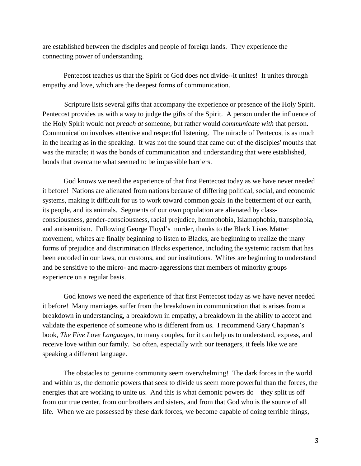are established between the disciples and people of foreign lands. They experience the connecting power of understanding.

Pentecost teaches us that the Spirit of God does not divide--it unites! It unites through empathy and love, which are the deepest forms of communication.

Scripture lists several gifts that accompany the experience or presence of the Holy Spirit. Pentecost provides us with a way to judge the gifts of the Spirit. A person under the influence of the Holy Spirit would not *preach at* someone, but rather would *communicate with* that person. Communication involves attentive and respectful listening. The miracle of Pentecost is as much in the hearing as in the speaking. It was not the sound that came out of the disciples' mouths that was the miracle; it was the bonds of communication and understanding that were established, bonds that overcame what seemed to be impassible barriers.

God knows we need the experience of that first Pentecost today as we have never needed it before! Nations are alienated from nations because of differing political, social, and economic systems, making it difficult for us to work toward common goals in the betterment of our earth, its people, and its animals. Segments of our own population are alienated by classconsciousness, gender-consciousness, racial prejudice, homophobia, Islamophobia, transphobia, and antisemitism. Following George Floyd's murder, thanks to the Black Lives Matter movement, whites are finally beginning to listen to Blacks, are beginning to realize the many forms of prejudice and discrimination Blacks experience, including the systemic racism that has been encoded in our laws, our customs, and our institutions. Whites are beginning to understand and be sensitive to the micro- and macro-aggressions that members of minority groups experience on a regular basis.

God knows we need the experience of that first Pentecost today as we have never needed it before! Many marriages suffer from the breakdown in communication that is arises from a breakdown in understanding, a breakdown in empathy, a breakdown in the ability to accept and validate the experience of someone who is different from us. I recommend Gary Chapman's book, *The Five Love Languages*, to many couples, for it can help us to understand, express, and receive love within our family. So often, especially with our teenagers, it feels like we are speaking a different language.

The obstacles to genuine community seem overwhelming! The dark forces in the world and within us, the demonic powers that seek to divide us seem more powerful than the forces, the energies that are working to unite us. And this is what demonic powers do—they split us off from our true center, from our brothers and sisters, and from that God who is the source of all life. When we are possessed by these dark forces, we become capable of doing terrible things,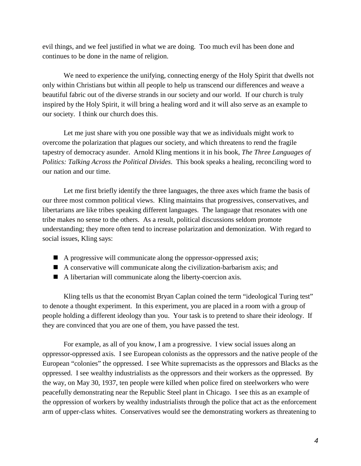evil things, and we feel justified in what we are doing. Too much evil has been done and continues to be done in the name of religion.

We need to experience the unifying, connecting energy of the Holy Spirit that dwells not only within Christians but within all people to help us transcend our differences and weave a beautiful fabric out of the diverse strands in our society and our world. If our church is truly inspired by the Holy Spirit, it will bring a healing word and it will also serve as an example to our society. I think our church does this.

Let me just share with you one possible way that we as individuals might work to overcome the polarization that plagues our society, and which threatens to rend the fragile tapestry of democracy asunder. Arnold Kling mentions it in his book, *The Three Languages of Politics: Talking Across the Political Divides*. This book speaks a healing, reconciling word to our nation and our time.

Let me first briefly identify the three languages, the three axes which frame the basis of our three most common political views. Kling maintains that progressives, conservatives, and libertarians are like tribes speaking different languages. The language that resonates with one tribe makes no sense to the others. As a result, political discussions seldom promote understanding; they more often tend to increase polarization and demonization. With regard to social issues, Kling says:

- A progressive will communicate along the oppressor-oppressed axis;
- $\blacksquare$  A conservative will communicate along the civilization-barbarism axis; and
- A libertarian will communicate along the liberty-coercion axis.

Kling tells us that the economist Bryan Caplan coined the term "ideological Turing test" to denote a thought experiment. In this experiment, you are placed in a room with a group of people holding a different ideology than you. Your task is to pretend to share their ideology. If they are convinced that you are one of them, you have passed the test.

For example, as all of you know, I am a progressive. I view social issues along an oppressor-oppressed axis. I see European colonists as the oppressors and the native people of the European "colonies" the oppressed. I see White supremacists as the oppressors and Blacks as the oppressed. I see wealthy industrialists as the oppressors and their workers as the oppressed. By the way, on May 30, 1937, ten people were killed when police fired on steelworkers who were peacefully demonstrating near the Republic Steel plant in Chicago. I see this as an example of the oppression of workers by wealthy industrialists through the police that act as the enforcement arm of upper-class whites. Conservatives would see the demonstrating workers as threatening to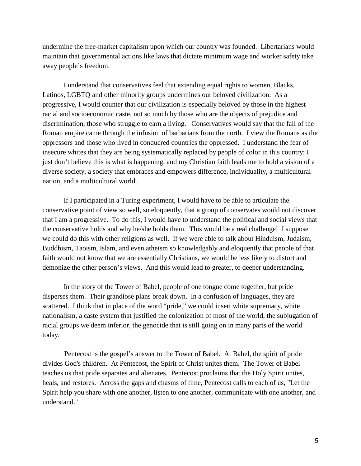undermine the free-market capitalism upon which our country was founded. Libertarians would maintain that governmental actions like laws that dictate minimum wage and worker safety take away people's freedom.

I understand that conservatives feel that extending equal rights to women, Blacks, Latinos, LGBTQ and other minority groups undermines our beloved civilization. As a progressive, I would counter that our civilization is especially beloved by those in the highest racial and socioeconomic caste, not so much by those who are the objects of prejudice and discrimination, those who struggle to earn a living. Conservatives would say that the fall of the Roman empire came through the infusion of barbarians from the north. I view the Romans as the oppressors and those who lived in conquered countries the oppressed. I understand the fear of insecure whites that they are being systematically replaced by people of color in this country; I just don't believe this is what is happening, and my Christian faith leads me to hold a vision of a diverse society, a society that embraces and empowers difference, individuality, a multicultural nation, and a multicultural world.

If I participated in a Turing experiment, I would have to be able to articulate the conservative point of view so well, so eloquently, that a group of conservates would not discover that I am a progressive. To do this, I would have to understand the political and social views that the conservative holds and why he/she holds them. This would be a real challenge! I suppose we could do this with other religions as well. If we were able to talk about Hinduism, Judaism, Buddhism, Taoism, Islam, and even atheism so knowledgably and eloquently that people of that faith would not know that we are essentially Christians, we would be less likely to distort and demonize the other person's views. And this would lead to greater, to deeper understanding.

In the story of the Tower of Babel, people of one tongue come together, but pride disperses them. Their grandiose plans break down. In a confusion of languages, they are scattered. I think that in place of the word "pride," we could insert white supremacy, white nationalism, a caste system that justified the colonization of most of the world, the subjugation of racial groups we deem inferior, the genocide that is still going on in many parts of the world today.

Pentecost is the gospel's answer to the Tower of Babel. At Babel, the spirit of pride divides God's children. At Pentecost, the Spirit of Christ unites them. The Tower of Babel teaches us that pride separates and alienates. Pentecost proclaims that the Holy Spirit unites, heals, and restores. Across the gaps and chasms of time, Pentecost calls to each of us, "Let the Spirit help you share with one another, listen to one another, communicate with one another, and understand."